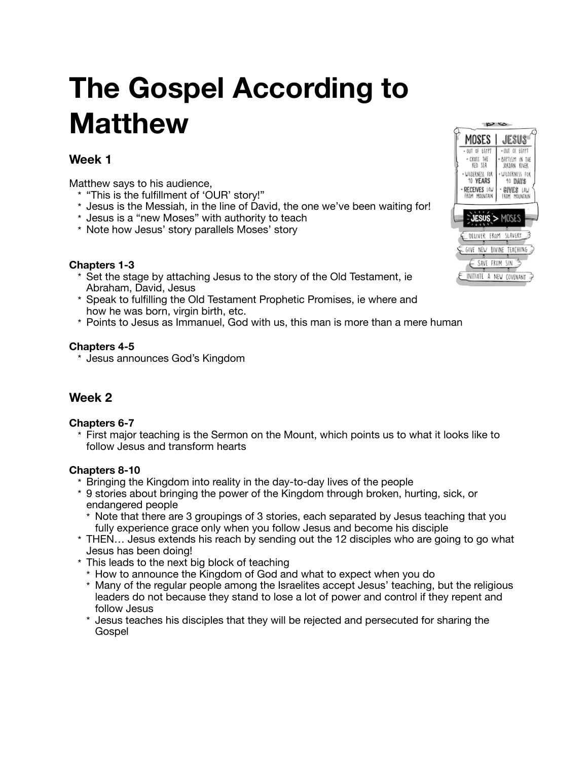# **The Gospel According to Matthew**

## **Week 1**

Matthew says to his audience,

- \* "This is the fulfillment of 'OUR' story!"
- \* Jesus is the Messiah, in the line of David, the one we've been waiting for!
- \* Jesus is a "new Moses" with authority to teach
- \* Note how Jesus' story parallels Moses' story

#### **Chapters 1-3**

- \* Set the stage by attaching Jesus to the story of the Old Testament, ie Abraham, David, Jesus
- \* Speak to fulfilling the Old Testament Prophetic Promises, ie where and how he was born, virgin birth, etc.
- \* Points to Jesus as Immanuel, God with us, this man is more than a mere human

#### **Chapters 4-5**

\* Jesus announces God's Kingdom

## **Week 2**

#### **Chapters 6-7**

\* First major teaching is the Sermon on the Mount, which points us to what it looks like to follow Jesus and transform hearts

#### **Chapters 8-10**

- \* Bringing the Kingdom into reality in the day-to-day lives of the people
- \* 9 stories about bringing the power of the Kingdom through broken, hurting, sick, or endangered people
	- \* Note that there are 3 groupings of 3 stories, each separated by Jesus teaching that you fully experience grace only when you follow Jesus and become his disciple
- \* THEN… Jesus extends his reach by sending out the 12 disciples who are going to go what Jesus has been doing!
- \* This leads to the next big block of teaching
	- \* How to announce the Kingdom of God and what to expect when you do
	- \* Many of the regular people among the Israelites accept Jesus' teaching, but the religious leaders do not because they stand to lose a lot of power and control if they repent and follow Jesus
	- \* Jesus teaches his disciples that they will be rejected and persecuted for sharing the Gospel

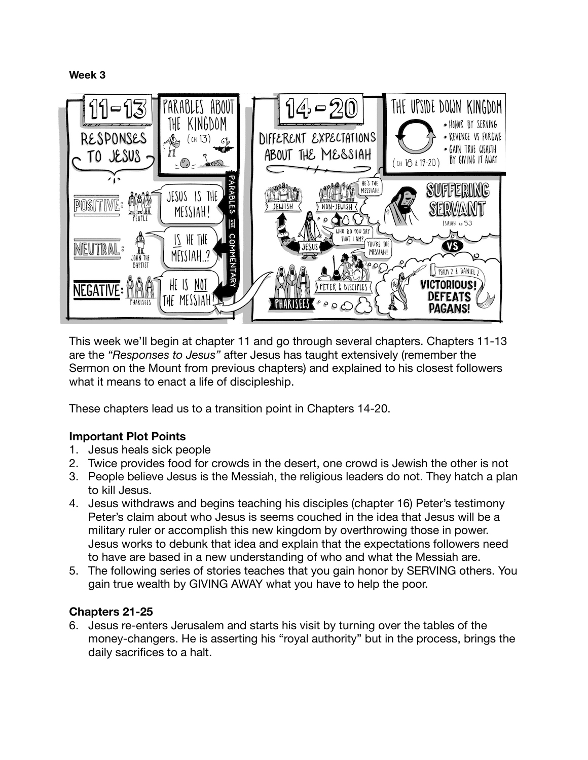**Week 3**



This week we'll begin at chapter 11 and go through several chapters. Chapters 11-13 are the *"Responses to Jesus"* after Jesus has taught extensively (remember the Sermon on the Mount from previous chapters) and explained to his closest followers what it means to enact a life of discipleship.

These chapters lead us to a transition point in Chapters 14-20.

## **Important Plot Points**

- 1. Jesus heals sick people
- 2. Twice provides food for crowds in the desert, one crowd is Jewish the other is not
- 3. People believe Jesus is the Messiah, the religious leaders do not. They hatch a plan to kill Jesus.
- 4. Jesus withdraws and begins teaching his disciples (chapter 16) Peter's testimony Peter's claim about who Jesus is seems couched in the idea that Jesus will be a military ruler or accomplish this new kingdom by overthrowing those in power. Jesus works to debunk that idea and explain that the expectations followers need to have are based in a new understanding of who and what the Messiah are.
- 5. The following series of stories teaches that you gain honor by SERVING others. You gain true wealth by GIVING AWAY what you have to help the poor.

## **Chapters 21-25**

6. Jesus re-enters Jerusalem and starts his visit by turning over the tables of the money-changers. He is asserting his "royal authority" but in the process, brings the daily sacrifices to a halt.